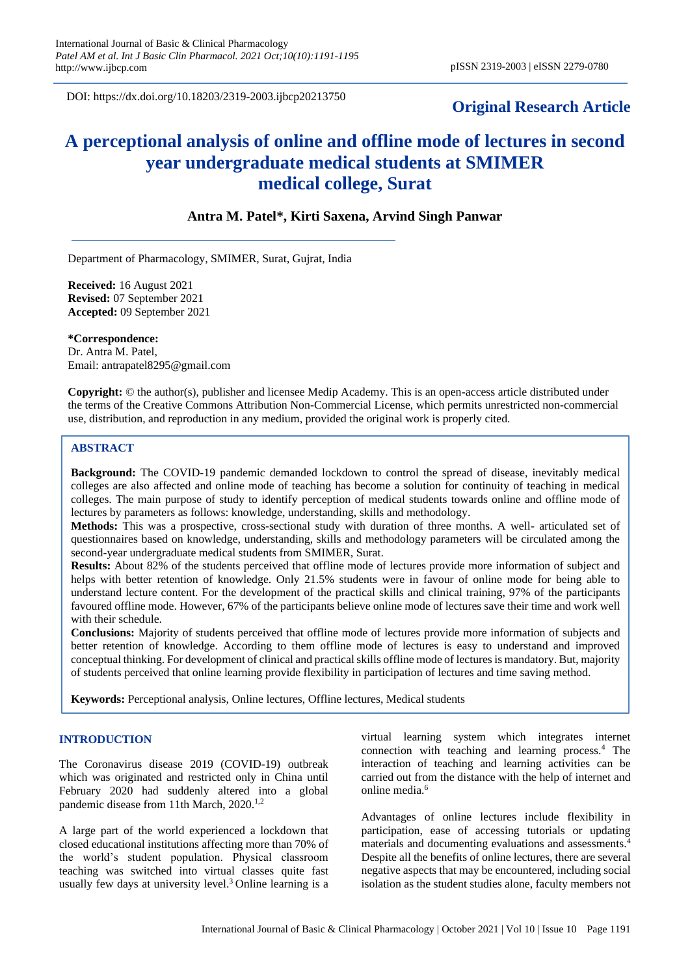DOI: https://dx.doi.org/10.18203/2319-2003.ijbcp20213750

## **Original Research Article**

# **A perceptional analysis of online and offline mode of lectures in second year undergraduate medical students at SMIMER medical college, Surat**

## **Antra M. Patel\*, Kirti Saxena, Arvind Singh Panwar**

Department of Pharmacology, SMIMER, Surat, Gujrat, India

**Received:** 16 August 2021 **Revised:** 07 September 2021 **Accepted:** 09 September 2021

**\*Correspondence:** Dr. Antra M. Patel, Email: antrapatel8295@gmail.com

**Copyright:** © the author(s), publisher and licensee Medip Academy. This is an open-access article distributed under the terms of the Creative Commons Attribution Non-Commercial License, which permits unrestricted non-commercial use, distribution, and reproduction in any medium, provided the original work is properly cited.

## **ABSTRACT**

**Background:** The COVID-19 pandemic demanded lockdown to control the spread of disease, inevitably medical colleges are also affected and online mode of teaching has become a solution for continuity of teaching in medical colleges. The main purpose of study to identify perception of medical students towards online and offline mode of lectures by parameters as follows: knowledge, understanding, skills and methodology.

**Methods:** This was a prospective, cross-sectional study with duration of three months. A well- articulated set of questionnaires based on knowledge, understanding, skills and methodology parameters will be circulated among the second-year undergraduate medical students from SMIMER, Surat.

**Results:** About 82% of the students perceived that offline mode of lectures provide more information of subject and helps with better retention of knowledge. Only 21.5% students were in favour of online mode for being able to understand lecture content. For the development of the practical skills and clinical training, 97% of the participants favoured offline mode. However, 67% of the participants believe online mode of lectures save their time and work well with their schedule.

**Conclusions:** Majority of students perceived that offline mode of lectures provide more information of subjects and better retention of knowledge. According to them offline mode of lectures is easy to understand and improved conceptual thinking. For development of clinical and practical skills offline mode of lectures is mandatory. But, majority of students perceived that online learning provide flexibility in participation of lectures and time saving method.

**Keywords:** Perceptional analysis, Online lectures, Offline lectures, Medical students

## **INTRODUCTION**

The Coronavirus disease 2019 (COVID-19) outbreak which was originated and restricted only in China until February 2020 had suddenly altered into a global pandemic disease from 11th March, 2020.<sup>1,2</sup>

A large part of the world experienced a lockdown that closed educational institutions affecting more than 70% of the world's student population. Physical classroom teaching was switched into virtual classes quite fast usually few days at university level.<sup>3</sup> Online learning is a virtual learning system which integrates internet connection with teaching and learning process.<sup>4</sup> The interaction of teaching and learning activities can be carried out from the distance with the help of internet and online media.<sup>6</sup>

Advantages of online lectures include flexibility in participation, ease of accessing tutorials or updating materials and documenting evaluations and assessments.<sup>4</sup> Despite all the benefits of online lectures, there are several negative aspects that may be encountered, including social isolation as the student studies alone, faculty members not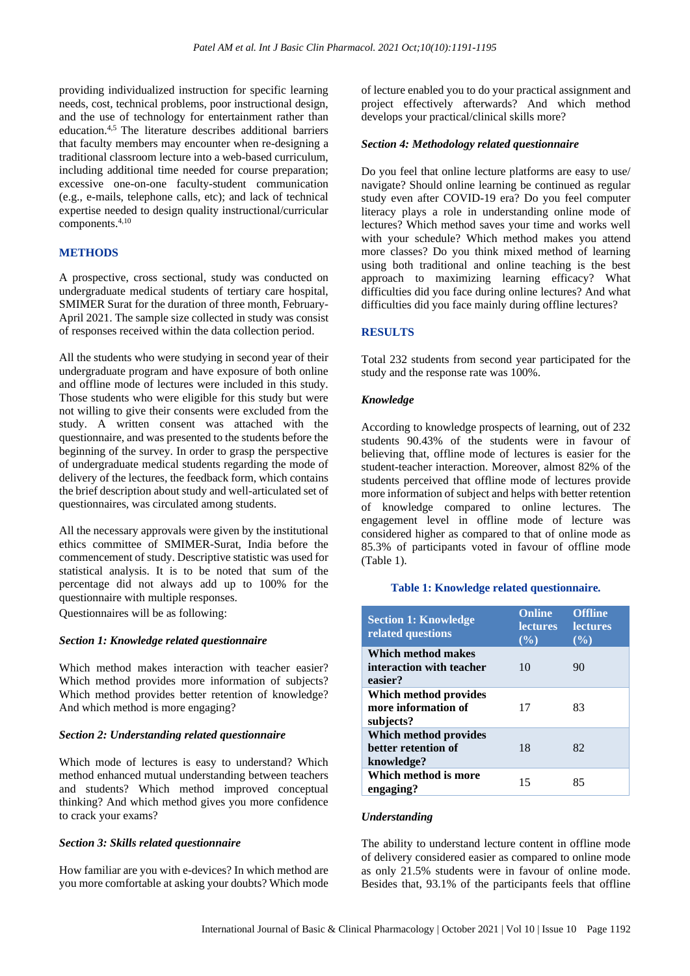providing individualized instruction for specific learning needs, cost, technical problems, poor instructional design, and the use of technology for entertainment rather than education.4,5 The literature describes additional barriers that faculty members may encounter when re-designing a traditional classroom lecture into a web-based curriculum, including additional time needed for course preparation; excessive one-on-one faculty-student communication (e.g., e-mails, telephone calls, etc); and lack of technical expertise needed to design quality instructional/curricular components.4,10

## **METHODS**

A prospective, cross sectional, study was conducted on undergraduate medical students of tertiary care hospital, SMIMER Surat for the duration of three month, February-April 2021. The sample size collected in study was consist of responses received within the data collection period.

All the students who were studying in second year of their undergraduate program and have exposure of both online and offline mode of lectures were included in this study. Those students who were eligible for this study but were not willing to give their consents were excluded from the study. A written consent was attached with the questionnaire, and was presented to the students before the beginning of the survey. In order to grasp the perspective of undergraduate medical students regarding the mode of delivery of the lectures, the feedback form, which contains the brief description about study and well-articulated set of questionnaires, was circulated among students.

All the necessary approvals were given by the institutional ethics committee of SMIMER-Surat, India before the commencement of study. Descriptive statistic was used for statistical analysis. It is to be noted that sum of the percentage did not always add up to 100% for the questionnaire with multiple responses.

Questionnaires will be as following:

## *Section 1: Knowledge related questionnaire*

Which method makes interaction with teacher easier? Which method provides more information of subjects? Which method provides better retention of knowledge? And which method is more engaging?

#### *Section 2: Understanding related questionnaire*

Which mode of lectures is easy to understand? Which method enhanced mutual understanding between teachers and students? Which method improved conceptual thinking? And which method gives you more confidence to crack your exams?

## *Section 3: Skills related questionnaire*

How familiar are you with e-devices? In which method are you more comfortable at asking your doubts? Which mode of lecture enabled you to do your practical assignment and project effectively afterwards? And which method develops your practical/clinical skills more?

## *Section 4: Methodology related questionnaire*

Do you feel that online lecture platforms are easy to use/ navigate? Should online learning be continued as regular study even after COVID-19 era? Do you feel computer literacy plays a role in understanding online mode of lectures? Which method saves your time and works well with your schedule? Which method makes you attend more classes? Do you think mixed method of learning using both traditional and online teaching is the best approach to maximizing learning efficacy? What difficulties did you face during online lectures? And what difficulties did you face mainly during offline lectures?

## **RESULTS**

Total 232 students from second year participated for the study and the response rate was 100%.

## *Knowledge*

According to knowledge prospects of learning, out of 232 students 90.43% of the students were in favour of believing that, offline mode of lectures is easier for the student-teacher interaction. Moreover, almost 82% of the students perceived that offline mode of lectures provide more information of subject and helps with better retention of knowledge compared to online lectures. The engagement level in offline mode of lecture was considered higher as compared to that of online mode as 85.3% of participants voted in favour of offline mode (Table 1).

## **Table 1: Knowledge related questionnaire***.*

| <b>Section 1: Knowledge</b><br>related questions           | <b>Online</b><br><b>lectures</b><br>$(\%)$ | <b>Offline</b><br><b>lectures</b><br>$($ %) |
|------------------------------------------------------------|--------------------------------------------|---------------------------------------------|
| Which method makes<br>interaction with teacher<br>easier?  | 10                                         | 90                                          |
| Which method provides<br>more information of<br>subjects?  | 17                                         | 83                                          |
| Which method provides<br>better retention of<br>knowledge? | 18                                         | 82                                          |
| Which method is more<br>engaging?                          | 15                                         | 85                                          |

## *Understanding*

The ability to understand lecture content in offline mode of delivery considered easier as compared to online mode as only 21.5% students were in favour of online mode. Besides that, 93.1% of the participants feels that offline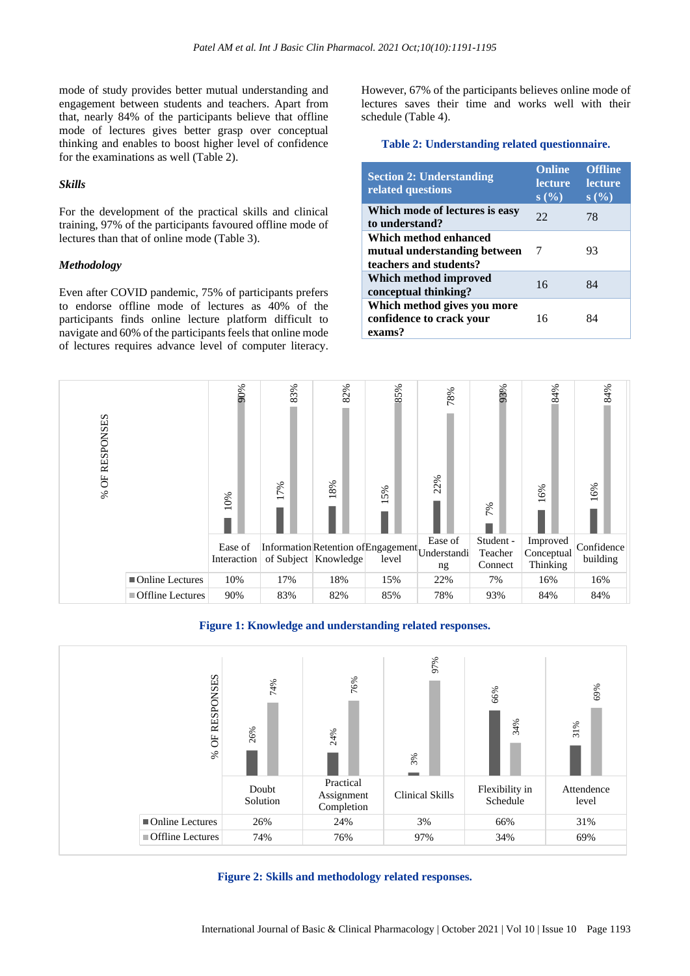mode of study provides better mutual understanding and engagement between students and teachers. Apart from that, nearly 84% of the participants believe that offline mode of lectures gives better grasp over conceptual thinking and enables to boost higher level of confidence for the examinations as well (Table 2).

#### *Skills*

For the development of the practical skills and clinical training, 97% of the participants favoured offline mode of lectures than that of online mode (Table 3).

#### *Methodology*

Even after COVID pandemic, 75% of participants prefers to endorse offline mode of lectures as 40% of the participants finds online lecture platform difficult to navigate and 60% of the participants feels that online mode of lectures requires advance level of computer literacy.

However, 67% of the participants believes online mode of lectures saves their time and works well with their schedule (Table 4).

## **Table 2: Understanding related questionnaire.**

| <b>Section 2: Understanding</b><br>related questions                            | <b>Online</b><br><b>lecture</b><br>s(%) | <b>Offline</b><br><b>lecture</b><br>s(%) |
|---------------------------------------------------------------------------------|-----------------------------------------|------------------------------------------|
| Which mode of lectures is easy<br>to understand?                                | 22                                      | 78                                       |
| Which method enhanced<br>mutual understanding between<br>teachers and students? | 7                                       | 93                                       |
| Which method improved<br>conceptual thinking?                                   | 16                                      | 84                                       |
| Which method gives you more<br>confidence to crack your<br>exams?               | 16                                      | 84                                       |



**Figure 1: Knowledge and understanding related responses.**





International Journal of Basic & Clinical Pharmacology | October 2021 | Vol 10 | Issue 10 Page 1193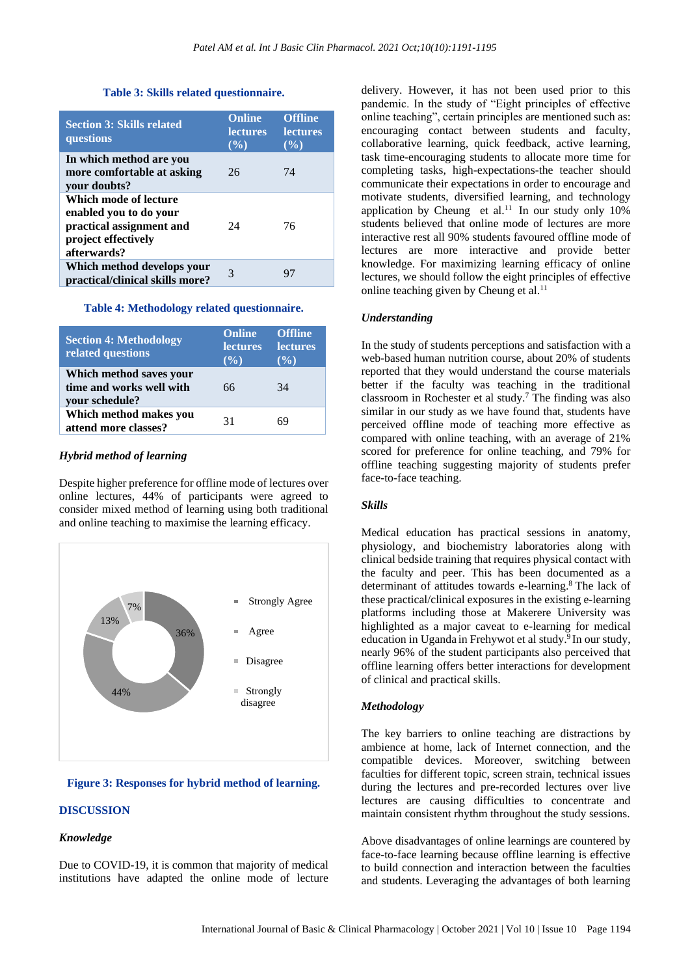#### **Table 3: Skills related questionnaire.**

| <b>Section 3: Skills related</b><br>questions                                                                     | <b>Online</b><br><b>lectures</b><br>$($ %) | <b>Offline</b><br><b>lectures</b><br>$($ %) |
|-------------------------------------------------------------------------------------------------------------------|--------------------------------------------|---------------------------------------------|
| In which method are you<br>more comfortable at asking<br>your doubts?                                             | 26                                         | 74                                          |
| Which mode of lecture<br>enabled you to do your<br>practical assignment and<br>project effectively<br>afterwards? | 24                                         | 76                                          |
| Which method develops your<br>practical/clinical skills more?                                                     | 3                                          |                                             |

#### **Table 4: Methodology related questionnaire.**

| <b>Section 4: Methodology</b><br>related questions                    | <b>Online</b><br><b>lectures</b><br>$($ %) | <b>Offline</b><br><b>lectures</b><br>$($ %) |
|-----------------------------------------------------------------------|--------------------------------------------|---------------------------------------------|
| Which method saves your<br>time and works well with<br>your schedule? | 66                                         | 34                                          |
| Which method makes you<br>attend more classes?                        | 31                                         | 69                                          |

## *Hybrid method of learning*

Despite higher preference for offline mode of lectures over online lectures, 44% of participants were agreed to consider mixed method of learning using both traditional and online teaching to maximise the learning efficacy.



## **Figure 3: Responses for hybrid method of learning.**

## **DISCUSSION**

#### *Knowledge*

Due to COVID-19, it is common that majority of medical institutions have adapted the online mode of lecture

delivery. However, it has not been used prior to this pandemic. In the study of "Eight principles of effective online teaching", certain principles are mentioned such as: encouraging contact between students and faculty, collaborative learning, quick feedback, active learning, task time-encouraging students to allocate more time for completing tasks, high-expectations-the teacher should communicate their expectations in order to encourage and motivate students, diversified learning, and technology application by Cheung et al.<sup>11</sup> In our study only  $10\%$ students believed that online mode of lectures are more interactive rest all 90% students favoured offline mode of lectures are more interactive and provide better knowledge. For maximizing learning efficacy of online lectures, we should follow the eight principles of effective online teaching given by Cheung et al.<sup>11</sup>

#### *Understanding*

In the study of students perceptions and satisfaction with a web-based human nutrition course, about 20% of students reported that they would understand the course materials better if the faculty was teaching in the traditional classroom in [Rochester](https://www.ncbi.nlm.nih.gov/pubmed/?term=Rochester%20CD%5BAuthor%5D&cauthor=true&cauthor_uid=19002289) et al study.<sup>7</sup> The finding was also similar in our study as we have found that, students have perceived offline mode of teaching more effective as compared with online teaching, with an average of 21% scored for preference for online teaching, and 79% for offline teaching suggesting majority of students prefer face-to-face teaching.

## *Skills*

Medical education has practical sessions in anatomy, physiology, and biochemistry laboratories along with clinical bedside training that requires physical contact with the faculty and peer. This has been documented as a determinant of attitudes towards e-learning.<sup>8</sup> The lack of these practical/clinical exposures in the existing e-learning platforms including those at Makerere University was highlighted as a major caveat to e-learning for medical education in Uganda in Frehywot et al study.<sup>9</sup> In our study, nearly 96% of the student participants also perceived that offline learning offers better interactions for development of clinical and practical skills.

## *Methodology*

The key barriers to online teaching are distractions by ambience at home, lack of Internet connection, and the compatible devices. Moreover, switching between faculties for different topic, screen strain, technical issues during the lectures and pre-recorded lectures over live lectures are causing difficulties to concentrate and maintain consistent rhythm throughout the study sessions.

Above disadvantages of online learnings are countered by face-to-face learning because offline learning is effective to build connection and interaction between the faculties and students. Leveraging the advantages of both learning